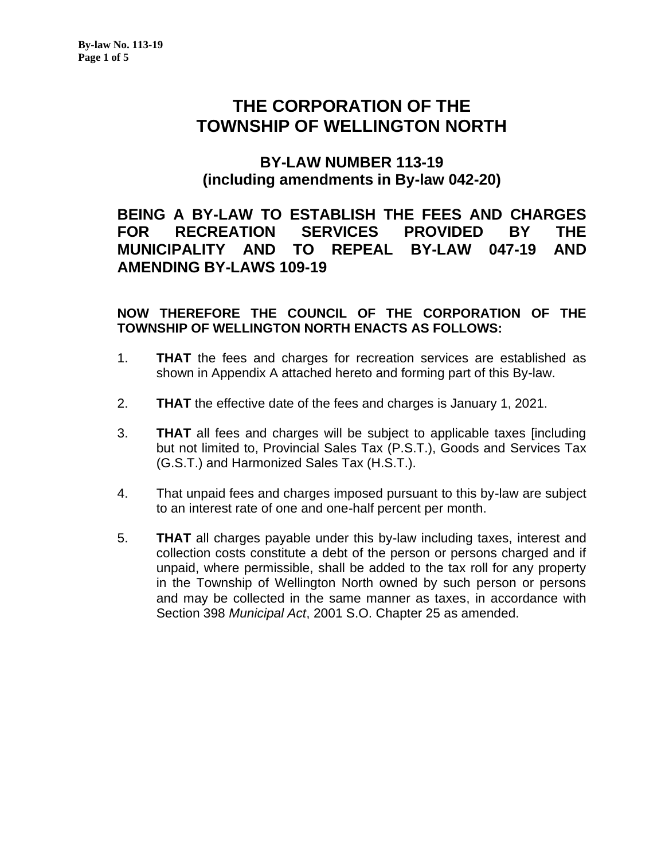# **THE CORPORATION OF THE TOWNSHIP OF WELLINGTON NORTH**

### **BY-LAW NUMBER 113-19 (including amendments in By-law 042-20)**

# **BEING A BY-LAW TO ESTABLISH THE FEES AND CHARGES FOR RECREATION SERVICES PROVIDED BY THE MUNICIPALITY AND TO REPEAL BY-LAW 047-19 AND AMENDING BY-LAWS 109-19**

### **NOW THEREFORE THE COUNCIL OF THE CORPORATION OF THE TOWNSHIP OF WELLINGTON NORTH ENACTS AS FOLLOWS:**

- 1. **THAT** the fees and charges for recreation services are established as shown in Appendix A attached hereto and forming part of this By-law.
- 2. **THAT** the effective date of the fees and charges is January 1, 2021.
- 3. **THAT** all fees and charges will be subject to applicable taxes [including but not limited to, Provincial Sales Tax (P.S.T.), Goods and Services Tax (G.S.T.) and Harmonized Sales Tax (H.S.T.).
- 4. That unpaid fees and charges imposed pursuant to this by-law are subject to an interest rate of one and one-half percent per month.
- 5. **THAT** all charges payable under this by-law including taxes, interest and collection costs constitute a debt of the person or persons charged and if unpaid, where permissible, shall be added to the tax roll for any property in the Township of Wellington North owned by such person or persons and may be collected in the same manner as taxes, in accordance with Section 398 *Municipal Act*, 2001 S.O. Chapter 25 as amended.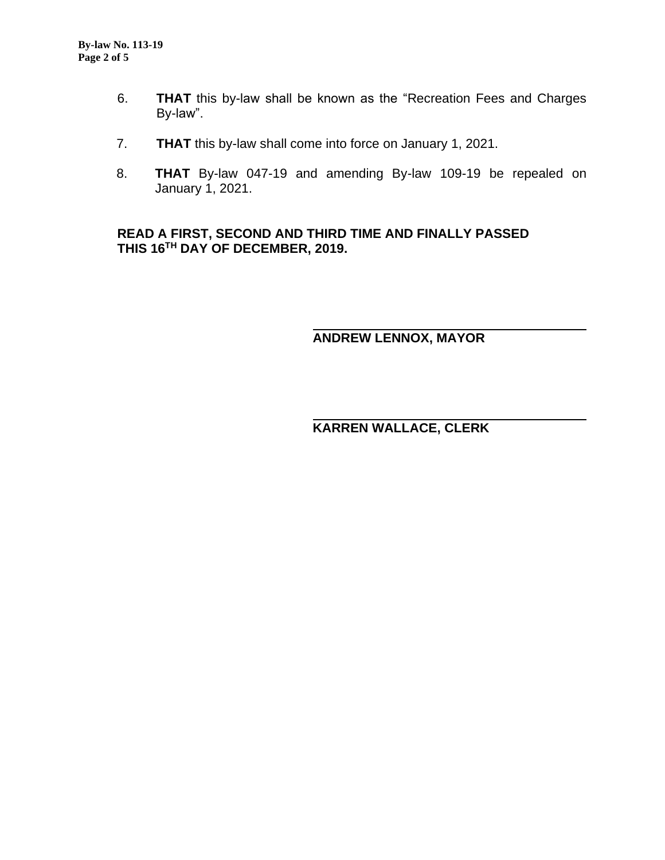- 6. **THAT** this by-law shall be known as the "Recreation Fees and Charges By-law".
- 7. **THAT** this by-law shall come into force on January 1, 2021.
- 8. **THAT** By-law 047-19 and amending By-law 109-19 be repealed on January 1, 2021.

**READ A FIRST, SECOND AND THIRD TIME AND FINALLY PASSED THIS 16TH DAY OF DECEMBER, 2019.**

**ANDREW LENNOX, MAYOR**

## **KARREN WALLACE, CLERK**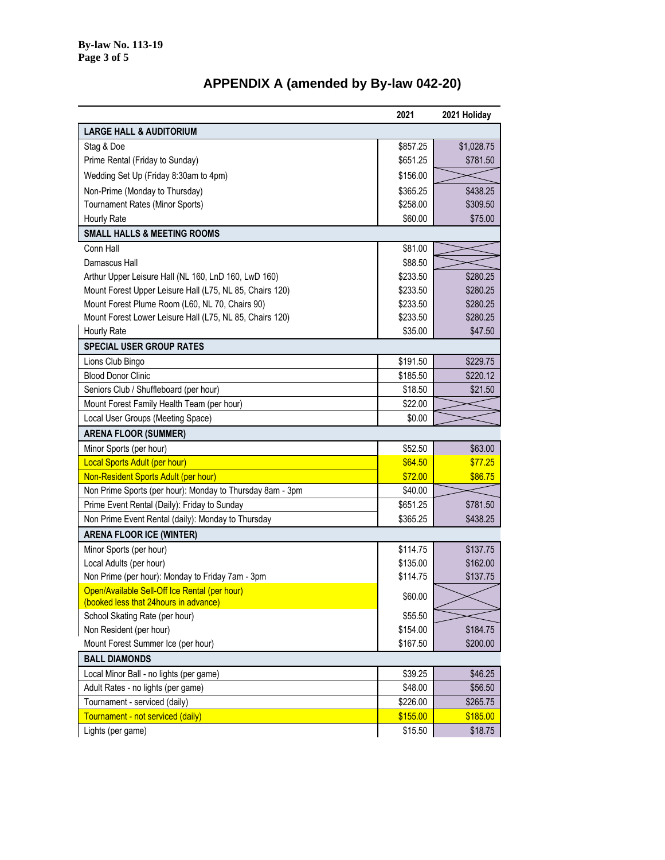# **APPENDIX A (amended by By-law 042-20)**

|                                                           | 2021     | 2021 Holiday |
|-----------------------------------------------------------|----------|--------------|
| <b>LARGE HALL &amp; AUDITORIUM</b>                        |          |              |
| Stag & Doe                                                | \$857.25 | \$1,028.75   |
| Prime Rental (Friday to Sunday)                           | \$651.25 | \$781.50     |
| Wedding Set Up (Friday 8:30am to 4pm)                     | \$156.00 |              |
| Non-Prime (Monday to Thursday)                            | \$365.25 | \$438.25     |
| Tournament Rates (Minor Sports)                           | \$258.00 | \$309.50     |
| Hourly Rate                                               | \$60.00  | \$75.00      |
| <b>SMALL HALLS &amp; MEETING ROOMS</b>                    |          |              |
| Conn Hall                                                 | \$81.00  |              |
| Damascus Hall                                             | \$88.50  |              |
| Arthur Upper Leisure Hall (NL 160, LnD 160, LwD 160)      | \$233.50 | \$280.25     |
| Mount Forest Upper Leisure Hall (L75, NL 85, Chairs 120)  | \$233.50 | \$280.25     |
| Mount Forest Plume Room (L60, NL 70, Chairs 90)           | \$233.50 | \$280.25     |
| Mount Forest Lower Leisure Hall (L75, NL 85, Chairs 120)  | \$233.50 | \$280.25     |
| Hourly Rate                                               | \$35.00  | \$47.50      |
| <b>SPECIAL USER GROUP RATES</b>                           |          |              |
| Lions Club Bingo                                          | \$191.50 | \$229.75     |
| <b>Blood Donor Clinic</b>                                 | \$185.50 | \$220.12     |
| Seniors Club / Shuffleboard (per hour)                    | \$18.50  | \$21.50      |
| Mount Forest Family Health Team (per hour)                | \$22.00  |              |
| Local User Groups (Meeting Space)                         | \$0.00   |              |
| <b>ARENA FLOOR (SUMMER)</b>                               |          |              |
| Minor Sports (per hour)                                   | \$52.50  | \$63.00      |
| <b>Local Sports Adult (per hour)</b>                      | \$64.50  | \$77.25      |
| <b>Non-Resident Sports Adult (per hour)</b>               | \$72.00  | \$86.75      |
| Non Prime Sports (per hour): Monday to Thursday 8am - 3pm | \$40.00  |              |
| Prime Event Rental (Daily): Friday to Sunday              | \$651.25 | \$781.50     |
| Non Prime Event Rental (daily): Monday to Thursday        | \$365.25 | \$438.25     |
| <b>ARENA FLOOR ICE (WINTER)</b>                           |          |              |
| Minor Sports (per hour)                                   | \$114.75 | \$137.75     |
| Local Adults (per hour)                                   | \$135.00 | \$162.00     |
| Non Prime (per hour): Monday to Friday 7am - 3pm          | \$114.75 | \$137.75     |
| Open/Available Sell-Off Ice Rental (per hour)             | \$60.00  |              |
| (booked less that 24hours in advance)                     |          |              |
| School Skating Rate (per hour)                            | \$55.50  |              |
| Non Resident (per hour)                                   | \$154.00 | \$184.75     |
| Mount Forest Summer Ice (per hour)                        | \$167.50 | \$200.00     |
| <b>BALL DIAMONDS</b>                                      |          |              |
| Local Minor Ball - no lights (per game)                   | \$39.25  | \$46.25      |
| Adult Rates - no lights (per game)                        | \$48.00  | \$56.50      |
| Tournament - serviced (daily)                             | \$226.00 | \$265.75     |
| Tournament - not serviced (daily)                         | \$155.00 | \$185.00     |
| Lights (per game)                                         | \$15.50  | \$18.75      |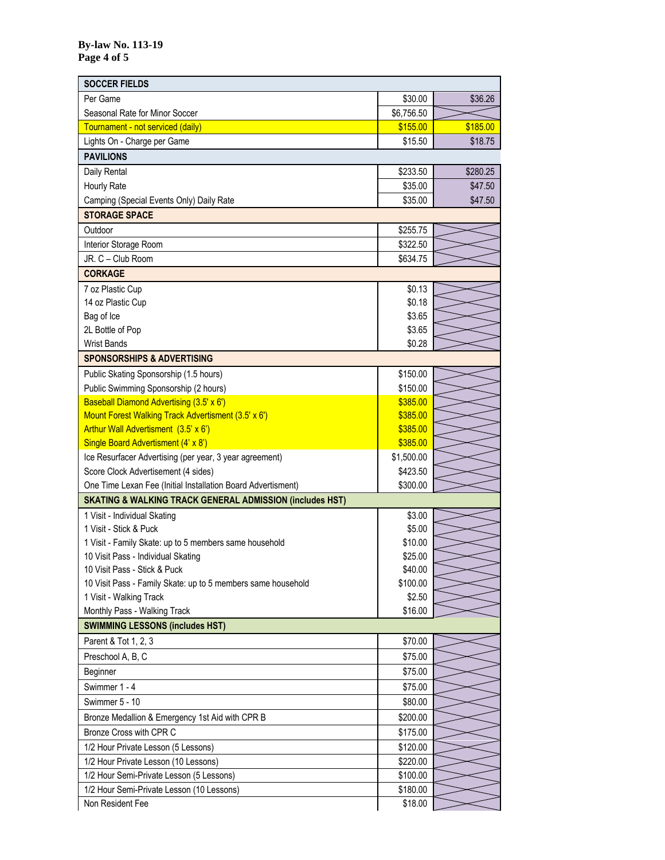| <b>SOCCER FIELDS</b>                                                                    |                     |          |  |  |
|-----------------------------------------------------------------------------------------|---------------------|----------|--|--|
| Per Game                                                                                | \$30.00             | \$36.26  |  |  |
| Seasonal Rate for Minor Soccer                                                          | \$6,756.50          |          |  |  |
| Tournament - not serviced (daily)                                                       | \$155.00            | \$185.00 |  |  |
| Lights On - Charge per Game                                                             | \$15.50             | \$18.75  |  |  |
| <b>PAVILIONS</b>                                                                        |                     |          |  |  |
| Daily Rental                                                                            | \$233.50            | \$280.25 |  |  |
| Hourly Rate                                                                             | \$35.00             | \$47.50  |  |  |
| Camping (Special Events Only) Daily Rate                                                | \$35.00             | \$47.50  |  |  |
| <b>STORAGE SPACE</b>                                                                    |                     |          |  |  |
| Outdoor                                                                                 | \$255.75            |          |  |  |
| Interior Storage Room                                                                   | \$322.50            |          |  |  |
| JR. C - Club Room                                                                       | \$634.75            |          |  |  |
| <b>CORKAGE</b>                                                                          |                     |          |  |  |
| 7 oz Plastic Cup                                                                        | \$0.13              |          |  |  |
| 14 oz Plastic Cup                                                                       | \$0.18              |          |  |  |
| Bag of Ice                                                                              | \$3.65              |          |  |  |
| 2L Bottle of Pop                                                                        | \$3.65              |          |  |  |
| <b>Wrist Bands</b>                                                                      | \$0.28              |          |  |  |
| <b>SPONSORSHIPS &amp; ADVERTISING</b>                                                   |                     |          |  |  |
|                                                                                         |                     |          |  |  |
| Public Skating Sponsorship (1.5 hours)                                                  | \$150.00            |          |  |  |
| Public Swimming Sponsorship (2 hours)                                                   | \$150.00            |          |  |  |
| Baseball Diamond Advertising (3.5' x 6')                                                | \$385.00            |          |  |  |
| Mount Forest Walking Track Advertisment (3.5' x 6')                                     | \$385.00            |          |  |  |
| Arthur Wall Advertisment (3.5' x 6')                                                    | \$385.00            |          |  |  |
| Single Board Advertisment (4' x 8')                                                     | \$385.00            |          |  |  |
| Ice Resurfacer Advertising (per year, 3 year agreement)                                 | \$1,500.00          |          |  |  |
| Score Clock Advertisement (4 sides)                                                     | \$423.50            |          |  |  |
| One Time Lexan Fee (Initial Installation Board Advertisment)                            | \$300.00            |          |  |  |
| <b>SKATING &amp; WALKING TRACK GENERAL ADMISSION (includes HST)</b>                     |                     |          |  |  |
| 1 Visit - Individual Skating                                                            | \$3.00              |          |  |  |
| 1 Visit - Stick & Puck                                                                  | \$5.00              |          |  |  |
| 1 Visit - Family Skate: up to 5 members same household                                  | \$10.00             |          |  |  |
| 10 Visit Pass - Individual Skating                                                      | \$25.00             |          |  |  |
| 10 Visit Pass - Stick & Puck                                                            | \$40.00<br>\$100.00 |          |  |  |
| 10 Visit Pass - Family Skate: up to 5 members same household<br>1 Visit - Walking Track | \$2.50              |          |  |  |
| Monthly Pass - Walking Track                                                            | \$16.00             |          |  |  |
|                                                                                         |                     |          |  |  |
| <b>SWIMMING LESSONS (includes HST)</b>                                                  |                     |          |  |  |
| Parent & Tot 1, 2, 3                                                                    | \$70.00             |          |  |  |
| Preschool A, B, C                                                                       | \$75.00             |          |  |  |
| Beginner                                                                                | \$75.00             |          |  |  |
| Swimmer 1 - 4                                                                           | \$75.00             |          |  |  |
| Swimmer 5 - 10                                                                          | \$80.00             |          |  |  |
| Bronze Medallion & Emergency 1st Aid with CPR B                                         | \$200.00            |          |  |  |
| Bronze Cross with CPR C                                                                 | \$175.00            |          |  |  |
| 1/2 Hour Private Lesson (5 Lessons)                                                     | \$120.00            |          |  |  |
| 1/2 Hour Private Lesson (10 Lessons)                                                    | \$220.00            |          |  |  |
| 1/2 Hour Semi-Private Lesson (5 Lessons)                                                | \$100.00            |          |  |  |
| 1/2 Hour Semi-Private Lesson (10 Lessons)                                               | \$180.00            |          |  |  |
| Non Resident Fee                                                                        | \$18.00             |          |  |  |